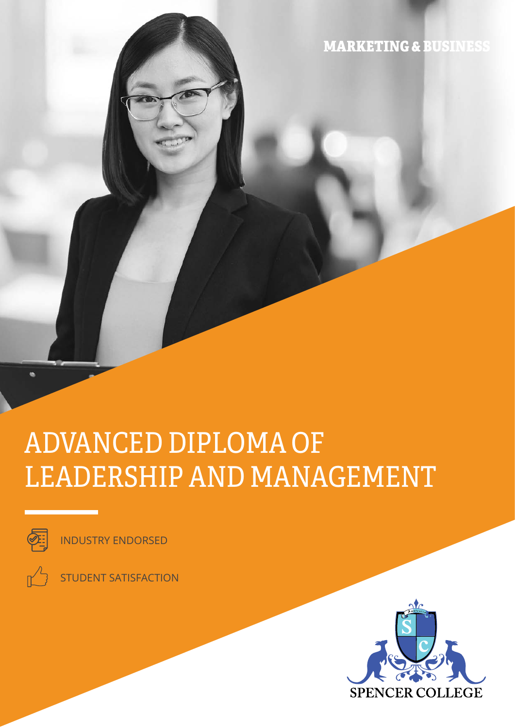MARKETING & BUSINESS

# ADVANCED DIPLOMA OF LEADERSHIP AND MANAGEMENT



ö

INDUSTRY ENDORSED

STUDENT SATISFACTION